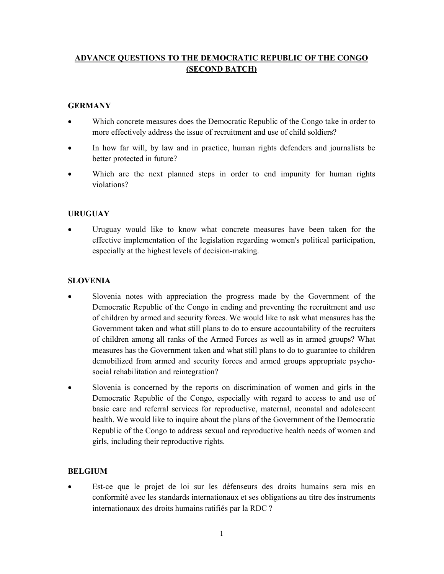# ADVANCE QUESTIONS TO THE DEMOCRATIC REPUBLIC OF THE CONGO (SECOND BATCH)

# **GERMANY**

- Which concrete measures does the Democratic Republic of the Congo take in order to more effectively address the issue of recruitment and use of child soldiers?
- In how far will, by law and in practice, human rights defenders and journalists be better protected in future?
- Which are the next planned steps in order to end impunity for human rights violations?

# URUGUAY

 Uruguay would like to know what concrete measures have been taken for the effective implementation of the legislation regarding women's political participation, especially at the highest levels of decision-making.

### **SLOVENIA**

- Slovenia notes with appreciation the progress made by the Government of the Democratic Republic of the Congo in ending and preventing the recruitment and use of children by armed and security forces. We would like to ask what measures has the Government taken and what still plans to do to ensure accountability of the recruiters of children among all ranks of the Armed Forces as well as in armed groups? What measures has the Government taken and what still plans to do to guarantee to children demobilized from armed and security forces and armed groups appropriate psychosocial rehabilitation and reintegration?
- Slovenia is concerned by the reports on discrimination of women and girls in the Democratic Republic of the Congo, especially with regard to access to and use of basic care and referral services for reproductive, maternal, neonatal and adolescent health. We would like to inquire about the plans of the Government of the Democratic Republic of the Congo to address sexual and reproductive health needs of women and girls, including their reproductive rights.

### BELGIUM

 Est-ce que le projet de loi sur les défenseurs des droits humains sera mis en conformité avec les standards internationaux et ses obligations au titre des instruments internationaux des droits humains ratifiés par la RDC ?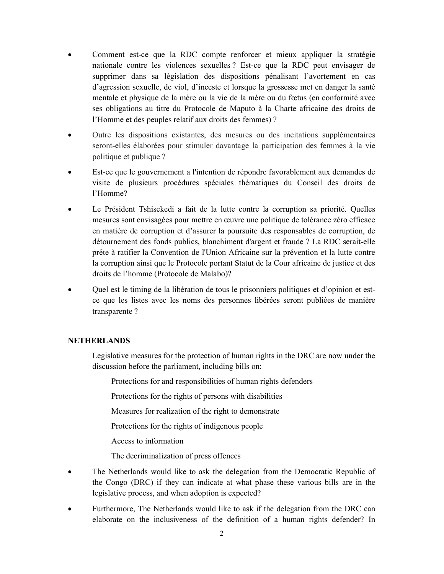- Comment est-ce que la RDC compte renforcer et mieux appliquer la stratégie nationale contre les violences sexuelles ? Est-ce que la RDC peut envisager de supprimer dans sa législation des dispositions pénalisant l'avortement en cas d'agression sexuelle, de viol, d'inceste et lorsque la grossesse met en danger la santé mentale et physique de la mère ou la vie de la mère ou du fœtus (en conformité avec ses obligations au titre du Protocole de Maputo à la Charte africaine des droits de l'Homme et des peuples relatif aux droits des femmes) ?
- Outre les dispositions existantes, des mesures ou des incitations supplémentaires seront-elles élaborées pour stimuler davantage la participation des femmes à la vie politique et publique ?
- Est-ce que le gouvernement a l'intention de répondre favorablement aux demandes de visite de plusieurs procédures spéciales thématiques du Conseil des droits de l'Homme?
- Le Président Tshisekedi a fait de la lutte contre la corruption sa priorité. Quelles mesures sont envisagées pour mettre en œuvre une politique de tolérance zéro efficace en matière de corruption et d'assurer la poursuite des responsables de corruption, de détournement des fonds publics, blanchiment d'argent et fraude ? La RDC serait-elle prête à ratifier la Convention de l'Union Africaine sur la prévention et la lutte contre la corruption ainsi que le Protocole portant Statut de la Cour africaine de justice et des droits de l'homme (Protocole de Malabo)?
- Quel est le timing de la libération de tous le prisonniers politiques et d'opinion et estce que les listes avec les noms des personnes libérées seront publiées de manière transparente ?

#### NETHERLANDS

Legislative measures for the protection of human rights in the DRC are now under the discussion before the parliament, including bills on:

Protections for and responsibilities of human rights defenders

Protections for the rights of persons with disabilities

Measures for realization of the right to demonstrate

Protections for the rights of indigenous people

Access to information

The decriminalization of press offences

- The Netherlands would like to ask the delegation from the Democratic Republic of the Congo (DRC) if they can indicate at what phase these various bills are in the legislative process, and when adoption is expected?
- Furthermore, The Netherlands would like to ask if the delegation from the DRC can elaborate on the inclusiveness of the definition of a human rights defender? In